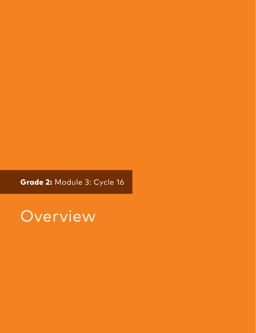Grade 2: Module 3: Cycle 16

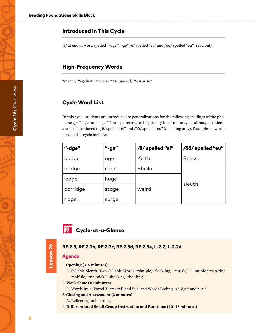# Introduced in This Cycle

/j/ at end of word spelled "-dge," "-ge";/ē/ spelled "ei," and /ōō/ spelled "eu" (read only)

# High-Frequency Words

"meant," "against," "receive," "supposed," "surprise"

# Cycle Word List

In this cycle, students are introduced to generalizations for the following spellings of the phoneme /j/: "-dge" and "-ge." These patterns are the primary focus of the cycle, although students are also introduced to /ē/ spelled "ei" and /ōō/ spelled "eu" (decoding only). Examples of words used in this cycle include:

| "-dge"   | "-ge" | /ē/ spelled "ei" | /ōō/ spelled "eu" |
|----------|-------|------------------|-------------------|
| badge    | age   | Keith            | Seuss             |
| bridge   | cage  | Sheila           |                   |
| ledge    | huge  | weird            | sleuth            |
| porridge | stage |                  |                   |
| ridge    | surge |                  |                   |

# **Fi** Cycle-at-a-Glance

#### RF.2.3, RF.2.3b, RF.2.3c, RF.2.3d, RF.2.3e, L.2.2, L.2.2d

#### Agenda

Lesson 76

Lesson 76

#### 1. **Opening (3–5 minutes)**

A. Syllable Sleuth: Two-Syllable Words: "sim-ple," "lock-ing," "tur-tle," " jum-ble," "sep-tic," "snif-fle," "un-stick," "shock-er," "boi-ling"

#### 2. **Work Time (10 minutes)**

- A. Words Rule: Vowel Teams "ei" and "eu" and Words Ending in "-dge" and "-ge"
- 3. **Closing and Assessment (2 minutes)**
	- A. Reflecting on Learning
- 4. **Differentiated Small Group Instruction and Rotations (40–45 minutes)**

2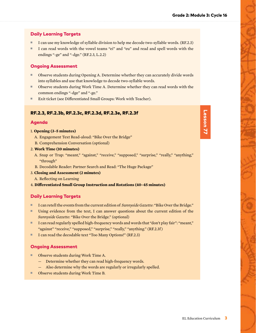# Daily Learning Targets

- I can use my knowledge of syllable division to help me decode two-syllable words. (RF.2.3)
- I can read words with the vowel teams "ei" and "eu" and read and spell words with the endings "-ge" and "-dge." (RF.2.3, L.2.2)

# Ongoing Assessment

- Observe students during Opening A. Determine whether they can accurately divide words into syllables and use that knowledge to decode two-syllable words.
- Observe students during Work Time A. Determine whether they can read words with the common endings "-dge" and "-ge."
- Exit ticket (see Differentiated Small Groups: Work with Teacher).

# RF.2.3, RF.2.3b, RF.2.3c, RF.2.3d, RF.2.3e, RF.2.3f

### Agenda

#### 1. **Opening (3–5 minutes)**

- A. Engagement Text Read-aloud: "Bike Over the Bridge"
- B. Comprehension Conversation (optional)

#### 2. **Work Time (10 minutes)**

- A. Snap or Trap: "meant," "against," "receive," "supposed," "surprise," "really," "anything," "through"
- B. Decodable Reader: Partner Search and Read: "The Huge Package"
- 3. **Closing and Assessment (2 minutes)**
	- A. Reflecting on Learning

4. **Differentiated Small Group Instruction and Rotations (40–45 minutes)**

# Daily Learning Targets

- I can retell the events from the current edition of  *Sunnyside Gazette*: "Bike Over the Bridge."
- Using evidence from the text, I can answer questions about the current edition of the *Sunnyside Gazette*: "Bike Over the Bridge." (optional)
- I can read regularly spelled high-frequency words and words that "don't play fair": "meant," "against" "receive," "supposed," "surprise," "really," "anything." (RF.2.3f)
- I can read the decodable text "Too Many Options!" (RF.2.3)

# Ongoing Assessment

- Observe students during Work Time A.
	- Determine whether they can read high-frequency words.
	- Also determine why the words are regularly or irregularly spelled.
- Observe students during Work Time B.

# Lesson 77 Lesson 77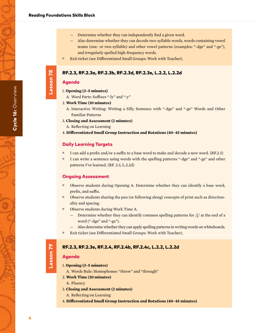- Also determine whether they can decode two-syllable words, words containing vowel teams (one- or two-syllable) and other vowel patterns (examples: "-dge" and "-ge"), and irregularly spelled high-frequency words.
- Exit ticket (see Differentiated Small Groups: Work with Teacher).

### RF.2.3, RF.2.3a, RF.2.3b, RF.2.3d, RF.2.3e, L.2.2, L.2.2d

### Agenda

Lesson 78

Lesson 78

- 1. **Opening (3–5 minutes)**
- A. Word Parts: Suffixes "-ly" and "-y"

#### 2. **Work Time (10 minutes)**

- A. Interactive Writing: Writing a Silly Sentence with "-dge" and "-ge" Words and Other Familiar Patterns
- 3. **Closing and Assessment (2 minutes)**
	- A. Reflecting on Learning

#### 4. **Differentiated Small Group Instruction and Rotations (40–45 minutes)**

#### Daily Learning Targets

- I can add a prefix and/or a suffix to a base word to make and decode a new word. (RF.2.3)
- I can write a sentence using words with the spelling patterns "-dge" and "-ge" and other patterns I've learned. (RF. 2.3, L.2.2d)

#### Ongoing Assessment

- Observe students during Opening A. Determine whether they can identify a base word, prefix, and suffix.
- Observe students sharing the pen (or following along) concepts of print such as directionality and spacing.
- Observe students during Work Time A.
	- Determine whether they can identify common spelling patterns for  $/j/$  at the end of a word ("-dge" and "-ge").
	- Also determine whether they can apply spelling patterns in writing words on whiteboards.
- Exit ticket (see Differentiated Small Groups: Work with Teacher).

# RF.2.3, RF.2.3e, RF.2.4, RF.2.4b, RF.2.4c, L.2.2, L.2.2d

#### Agenda

Lesson 79

Lesson 79

- 1. **Opening (3–5 minutes)**
- A. Words Rule: Homophones: "threw" and "through"
- 2. **Work Time (10 minutes)**
	- A. Fluency
- 3. **Closing and Assessment (2 minutes)**
	- A. Reflecting on Learning
- 4. **Differentiated Small Group Instruction and Rotations (40–45 minutes)**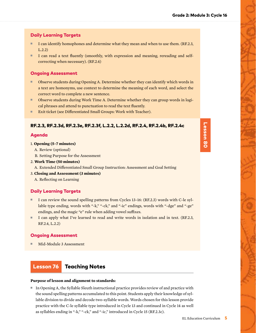# Daily Learning Targets

- I can identify homophones and determine what they mean and when to use them. (RF.2.3, L.2.2)
- I can read a text fluently (smoothly, with expression and meaning, rereading and selfcorrecting when necessary). (RF.2.4)

#### Ongoing Assessment

- Observe students during Opening A. Determine whether they can identify which words in a text are homonyms, use context to determine the meaning of each word, and select the correct word to complete a new sentence.
- Observe students during Work Time A. Determine whether they can group words in logical phrases and attend to punctuation to read the text fluently.
- Exit ticket (see Differentiated Small Groups: Work with Teacher).

#### RF.2.3, RF.2.3d, RF.2.3e, RF.2.3f, L.2.2, L.2.2d, RF.2.4, RF.2.4b, RF.2.4c

#### Agenda

#### 1. **Opening (5–7 minutes)**

- A. Review (optional)
- B. Setting Purpose for the Assessment

#### 2. **Work Time (50 minutes)**

A. Extended Differentiated Small Group Instruction: Assessment and Goal Setting

- 3. **Closing and Assessment (3 minutes)**
	- A. Reflecting on Learning

#### Daily Learning Targets

- I can review the sound spelling patterns from Cycles 13–16: (RF.2.3) words with C-le syllable type ending, words with "-k," "-ck," and "-ic" endings, words with "-dge" and "-ge" endings, and the magic "e" rule when adding vowel suffixes.
- I can apply what I've learned to read and write words in isolation and in text. (RF.2.3, RF.2.4, L.2.2)

#### Ongoing Assessment

Mid-Module 3 Assessment

# Lesson 76 Teaching Notes

#### **Purpose of lesson and alignment to standards:**

■ In Opening A, the Syllable Sleuth instructional practice provides review of and practice with the sound spelling patterns accumulated to this point. Students apply their knowledge of syllable division to divide and decode two-syllable words. Words chosen for this lesson provide practice with the C-le syllable type introduced in Cycle 13 and continued in Cycle 14 as well as syllables ending in "-k," "-ck," and "-ic," introduced in Cycle 15 (RF.2.3c).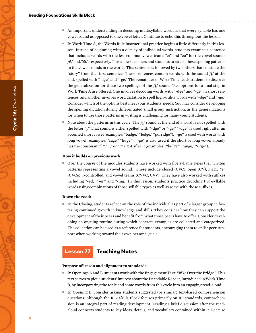#### Reading Foundations Skills Block

- An important understanding in decoding multisyllabic words is that every syllable has one vowel sound as opposed to one vowel letter. Continue to echo this throughout the lesson.
- In Work Time A, the Words Rule instructional practice begins a little differently in this lesson. Instead of beginning with a display of individual words, students examine a sentence that includes words with the less common vowel teams "ei" and "eu" for the vowel sounds  $\sqrt{e}$  and  $\sqrt{50}$ , respectively. This allows teachers and students to attach these spelling patterns to the vowel sounds in the words. This sentence is followed by two others that continue the "story" from that first sentence. These sentences contain words with the sound  $j_1$  at the end, spelled with "-dge" and "-ge." The remainder of Work Time leads students to discover the generalization for these two spellings of the  $j/$  sound. Two options for a final step in Work Time A are offered. One involves decoding words with "-dge" and "-ge" in short sentences, and another involves word dictation to spell high-utility words with "-dge" and "-ge." Consider which of the options best meet your students' needs. You may consider developing the spelling dictation during differentiated small group instruction, as the generalizations for when to use those patterns in writing is challenging for many young students.
- Note about the patterns in this cycle: The  $\frac{1}{2}$  sound at the end of a word is not spelled with the letter "j." That sound is either spelled with "-dge" or "-ge." "-dge" is used right after an accented short vowel (examples: "badge," "ledge," "porridge"). "-ge" is used with words with long vowel (examples: "cage," "huge"). "-ge" is also used if the short or long vowel already has the consonant "l," "n," or "r" right after it (examples: "bulge," "range," "urge").

#### **How it builds on previous work:**

■ Over the course of the modules students have worked with five syllable types (i.e., written patterns representing a vowel sound). These include closed (CVC), open (CV), magic "e" (CVCe), r-controlled, and vowel teams (CVVC, CVV). They have also worked with suffixes including "-ed," "-er," and "-ing." In this lesson, students practice decoding two-syllable words using combinations of those syllable types as well as some with those suffixes.

#### **Down the road:**

■ In the Closing, students reflect on the role of the individual as part of a larger group in fostering continued growth in knowledge and skills. They consider how they can support the development of their peers and benefit from what those peers have to offer. Consider developing an ongoing routine during which concrete examples are collected and categorized. The collection can be used as a reference for students, encouraging them to enlist peer support when working toward their own personal goals.

# Lesson 77 Teaching Notes

#### **Purpose of lesson and alignment to standards:**

- In Openings A and B, students work with the Engagement Text: "Bike Over the Bridge." This text serves to pique students' interest about the Decodable Reader, introduced in Work Time B, by incorporating the topic and some words from this cycle into an engaging read-aloud.
- In Opening B, consider asking students suggested (or similar) text-based comprehension questions. Although the K–2 Skills Block focuses primarily on RF standards, comprehension is an integral part of reading development. Leading a brief discussion after the readaloud connects students to key ideas, details, and vocabulary contained within it. Because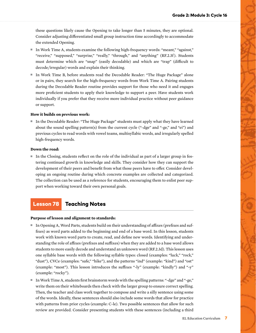these questions likely cause the Opening to take longer than 5 minutes, they are optional. Consider adjusting differentiated small group instruction time accordingly to accommodate the extended Opening.

- In Work Time A, students examine the following high-frequency words: "meant," "against," "receive," "supposed," "surprise," "really," "through," and "anything" (RF.2.3f ). Students must determine which are "snap" (easily decodable) and which are "trap" (difficult to decode/irregular) words and explain their thinking.
- In Work Time B, before students read the Decodable Reader: "The Huge Package" alone or in pairs, they search for the high-frequency words from Work Time A. Pairing students during the Decodable Reader routine provides support for those who need it and engages more proficient students to apply their knowledge to support a peer. Have students work individually if you prefer that they receive more individual practice without peer guidance or support.

#### **How it builds on previous work:**

■ In the Decodable Reader: "The Huge Package" students must apply what they have learned about the sound spelling pattern(s) from the current cycle ("-dge" and "-ge," and "ei") and previous cycles to read words with vowel teams, multisyllabic words, and irregularly spelled high-frequency words.

#### **Down the road:**

■ In the Closing, students reflect on the role of the individual as part of a larger group in fostering continued growth in knowledge and skills. They consider how they can support the development of their peers and benefit from what those peers have to offer. Consider developing an ongoing routine during which concrete examples are collected and categorized. The collection can be used as a reference for students, encouraging them to enlist peer support when working toward their own personal goals.

# Lesson 78 Teaching Notes

#### **Purpose of lesson and alignment to standards:**

- In Opening A, Word Parts, students build on their understanding of affixes (prefixes and suffixes) as word parts added to the beginning and end of a base word. In this lesson, students work with known word parts to create, read, and define new words. Identifying and understanding the role of affixes (prefixes and suffixes) when they are added to a base word allows students to more easily decode and understand an unknown word (RF.2.3d). This lesson uses one syllable base words with the following syllable types: closed (examples: "luck," "rock," "dust"), CVCe (examples: "safe," "hike"), and the patterns "ind" (example: "kind") and "ost" (example: "most"). This lesson introduces the suffixes "-ly" (example: "kindly") and "-y" (example: "rocky").
- In Work Time A, students first brainstorm words with the spelling patterns: "-dge" and "-ge," write them on their whiteboards then check with the larger group to ensure correct spelling. Then, the teacher and class work together to compose and write a silly sentence using some of the words. Ideally, these sentences should also include some words that allow for practice with patterns from prior cycles (example: C-le). Two possible sentences that allow for such review are provided. Consider presenting students with these sentences (including a third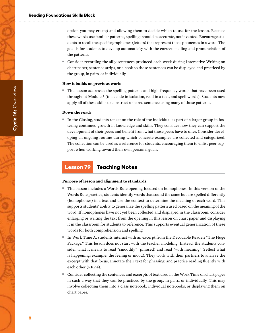option you may create) and allowing them to decide which to use for the lesson. Because these words use familiar patterns, spellings should be accurate, not invented. Encourage students to recall the specific graphemes (letters) that represent those phonemes in a word. The goal is for students to develop automaticity with the correct spelling and pronunciation of the patterns.

■ Consider recording the silly sentences produced each week during Interactive Writing on chart paper, sentence strips, or a book so those sentences can be displayed and practiced by the group, in pairs, or individually.

#### **How it builds on previous work:**

■ This lesson addresses the spelling patterns and high-frequency words that have been used throughout Module 3 (to decode in isolation, read in a text, and spell words). Students now apply all of these skills to construct a shared sentence using many of those patterns.

#### **Down the road:**

■ In the Closing, students reflect on the role of the individual as part of a larger group in fostering continued growth in knowledge and skills. They consider how they can support the development of their peers and benefit from what those peers have to offer. Consider developing an ongoing routine during which concrete examples are collected and categorized. The collection can be used as a reference for students, encouraging them to enlist peer support when working toward their own personal goals.

# Lesson 79 Teaching Notes

#### **Purpose of lesson and alignment to standards:**

- This lesson includes a Words Rule opening focused on homophones. In this version of the Words Rule practice, students identify words that sound the same but are spelled differently (homophones) in a text and use the context to determine the meaning of each word. This supports students' ability to generalize the spelling pattern used based on the meaning of the word. If homophones have not yet been collected and displayed in the classroom, consider enlarging or writing the text from the opening in this lesson on chart paper and displaying it in the classroom for students to reference. This supports eventual generalization of these words for both comprehension and spelling.
- In Work Time A, students interact with an excerpt from the Decodable Reader: "The Huge Package." This lesson does not start with the teacher modeling. Instead, the students consider what it means to read "smoothly" (phrased) and read "with meaning" (reflect what is happening; example: the feeling or mood). They work with their partners to analyze the excerpt with that focus, annotate their text for phrasing, and practice reading fluently with each other (RF.2.4).
- Consider collecting the sentences and excerpts of text used in the Work Time on chart paper in such a way that they can be practiced by the group, in pairs, or individually. This may involve collecting them into a class notebook, individual notebooks, or displaying them on chart paper.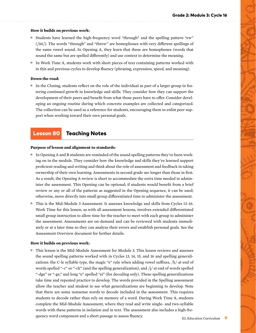#### **How it builds on previous work:**

- Students have learned the high-frequency word "through" and the spelling pattern "ew" (/ōō/). The words "through" and "threw" are homophones with very different spellings of the same vowel sound. In Opening A, they learn that these are homophones (words that sound the same but are spelled differently) and use context to determine the meaning.
- In Work Time A, students work with short pieces of text containing patterns worked with in this and previous cycles to develop fluency (phrasing, expression, speed, and meaning).

#### **Down the road:**

■ In the Closing, students reflect on the role of the individual as part of a larger group in fostering continued growth in knowledge and skills. They consider how they can support the development of their peers and benefit from what those peers have to offer. Consider developing an ongoing routine during which concrete examples are collected and categorized. The collection can be used as a reference for students, encouraging them to enlist peer support when working toward their own personal goals.

# Lesson 80 Teaching Notes

#### **Purpose of lesson and alignment to standards:**

- In Opening A and B students are reminded of the sound spelling patterns they've been working on in the module. They consider how the knowledge and skills they've learned support proficient reading and writing and think about the role of assessment and feedback in taking ownership of their own learning. Assessments in second grade are longer than those in first. As a result, the Opening A review is short to accommodate the extra time needed to administer the assessment. This Opening can be optional; if students would benefit from a brief review or any or all of the patterns as suggested in the Opening sequence, it can be used; otherwise, move directly into small group differentiated time to administer the assessment.
- This is the Mid-Module 3 Assessment. It assesses knowledge and skills from Cycles 13–16. Work Time for this lesson, as with all assessment lessons, involves extended differentiated small group instruction to allow time for the teacher to meet with each group to administer the assessment. Assessments are on-demand and can be reviewed with students immediately or at a later time so they can analyze their errors and establish personal goals. See the Assessment Overview document for further details.

#### **How it builds on previous work:**

■ This lesson is the Mid-Module Assessment for Module 3. This lesson reviews and assesses the sound spelling patterns worked with in Cycles 13, 14, 15, and 16 and spelling generalizations: the C-le syllable type, the magic "e" rule when adding vowel suffixes,  $/k/$  at end of words spelled "-c" or "-ck" (and the spelling generalization), and  $/j/$  at end of words spelled "-dge" or "-ge," and long "e" spelled "ei" (for decoding only). These spelling generalizations take time and repeated practice to develop. The words provided in the Spelling assessment allow the teacher and student to see what generalizations are beginning to develop. Note that there are some nonsense words to decode included in the assessment. This requires students to decode rather than rely on memory of a word. During Work Time A, students complete the Mid-Module Assessment, where they read and write single- and two-syllable words with these patterns in isolation and in text. The assessment also includes a high-frequency word component and a short passage to assess fluency.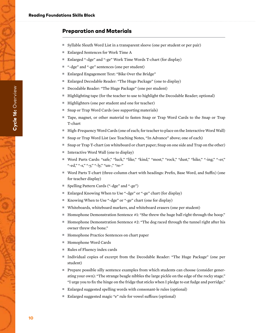# Preparation and Materials

- Syllable Sleuth Word List in a transparent sleeve (one per student or per pair)
- Enlarged Sentences for Work Time A
- Enlarged "-dge" and "-ge" Work Time Words T-chart (for display)
- "-dge" and "-ge" sentences (one per student)
- Enlarged Engagement Text: "Bike Over the Bridge"
- Enlarged Decodable Reader: "The Huge Package" (one to display)
- Decodable Reader: "The Huge Package" (one per student)
- Highlighting tape (for the teacher to use to highlight the Decodable Reader; optional)
- Highlighters (one per student and one for teacher)
- Snap or Trap Word Cards (see supporting materials)
- Tape, magnet, or other material to fasten Snap or Trap Word Cards to the Snap or Trap T-chart
- High-Frequency Word Cards (one of each; for teacher to place on the Interactive Word Wall)
- Snap or Trap Word List (see Teaching Notes, "In Advance" above; one of each)
- Snap or Trap T-chart (on whiteboard or chart paper; Snap on one side and Trap on the other)
- Interactive Word Wall (one to display)
- Word Parts Cards: "safe," "luck," "like," "kind," "most," "rock," "dust," "hike," "-ing," "-er," "-ed," "-s," "-y," "-ly," "un-," "re-"
- Word Parts T-chart (three-column chart with headings: Prefix, Base Word, and Suffix) (one for teacher display)
- Spelling Pattern Cards ("-dge" and "-ge")
- Enlarged Knowing When to Use "-dge" or "-ge" chart (for display)
- Knowing When to Use "-dge" or "-ge" chart (one for display)
- Whiteboards, whiteboard markers, and whiteboard erasers (one per student)
- Homophone Demonstration Sentence #1: "She threw the huge ball right through the hoop."
- Homophone Demonstration Sentence #2: "The dog raced through the tunnel right after his owner threw the bone."
- Homophone Practice Sentences on chart paper
- Homophone Word Cards
- Rules of Fluency index cards
- Individual copies of excerpt from the Decodable Reader: "The Huge Package" (one per student)
- Prepare possible silly sentence examples from which students can choose (consider generating your own): "The strange beagle nibbles the large pickle on the edge of the rocky stage." "I urge you to fix the hinge on the fridge that sticks when I pledge to eat fudge and porridge."
- Enlarged suggested spelling words with consonant-le rules (optional)
- Enlarged suggested magic "e" rule for vowel suffixes (optional)